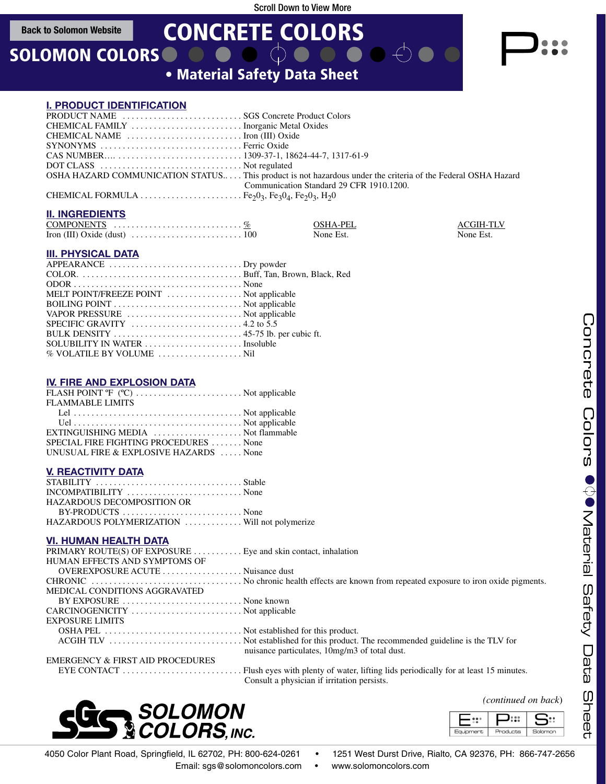**Back to Solomon Website**

# SOLOMON COLORS

• Material Safety Data Sheet CONCRETE COLORS

# **I. PRODUCT IDENTIFICATION**

| SYNONYMS Ferric Oxide |                                                                                                              |
|-----------------------|--------------------------------------------------------------------------------------------------------------|
|                       |                                                                                                              |
|                       |                                                                                                              |
|                       | OSHA HAZARD COMMUNICATION STATUS This product is not hazardous under the criteria of the Federal OSHA Hazard |
|                       | Communication Standard 29 CFR 1910.1200.                                                                     |
|                       |                                                                                                              |
|                       |                                                                                                              |

## **II. INGREDIENTS**

| COMPONENTS $\ldots \ldots \ldots \ldots \ldots \ldots \ldots \ldots \%$ | OSHA-PEL  | <b>ACGIH-TLV</b> |
|-------------------------------------------------------------------------|-----------|------------------|
|                                                                         | None Est. | None Est.        |

#### **III. PHYSICAL DATA**

| MELT POINT/FREEZE POINT  Not applicable                                                                  |  |
|----------------------------------------------------------------------------------------------------------|--|
|                                                                                                          |  |
| VAPOR PRESSURE  Not applicable                                                                           |  |
| SPECIFIC GRAVITY $\ldots \ldots \ldots \ldots \ldots \ldots \ldots \ldots$ . 4.2 to 5.5                  |  |
| BULK DENSITY $\dots \dots \dots \dots \dots \dots \dots \dots \dots \dots \dots$ 45-75 lb. per cubic ft. |  |
| SOLUBILITY IN WATER  Insoluble                                                                           |  |
| $%$ VOLATILE BY VOLUME $\dots\dots\dots\dots\dots\dots$ .                                                |  |

#### **IV. FIRE AND EXPLOSION DATA**

| FLASH POINT $\mathbb{F}$ (°C)  Not applicable |  |
|-----------------------------------------------|--|
| <b>FLAMMABLE LIMITS</b>                       |  |
|                                               |  |
|                                               |  |
| EXTINGUISHING MEDIA  Not flammable            |  |
| SPECIAL FIRE FIGHTING PROCEDURES None         |  |
| UNUSUAL FIRE & EXPLOSIVE HAZARDS  None        |  |
|                                               |  |

#### **V. REACTIVITY DATA**

| HAZARDOUS DECOMPOSITION OR                   |  |
|----------------------------------------------|--|
|                                              |  |
| HAZARDOUS POLYMERIZATION Will not polymerize |  |

### **VI. HUMAN HEALTH DATA**

| PRIMARY ROUTE(S) OF EXPOSURE  Eye and skin contact, inhalation |                                               |
|----------------------------------------------------------------|-----------------------------------------------|
| HUMAN EFFECTS AND SYMPTOMS OF                                  |                                               |
| OVEREXPOSURE ACUTE  Nuisance dust                              |                                               |
|                                                                |                                               |
| MEDICAL CONDITIONS AGGRAVATED                                  |                                               |
| BY EXPOSURE  None known                                        |                                               |
| CARCINOGENICITY  Not applicable                                |                                               |
| <b>EXPOSURE LIMITS</b>                                         |                                               |
|                                                                |                                               |
|                                                                | nuisance particulates, 10mg/m3 of total dust. |
| EMERGENCY & FIRST AID PROCEDURES                               |                                               |
|                                                                |                                               |

Consult a physician if irritation persists.



ננ:כ

Products

ה:3

Solomon

ع.



4050 Color Plant Road, Springfield, IL 62702, PH: 800-624-0261 • 1251 West Durst Drive, Rialto, CA 92376, PH: 866-747-2656

Email: sgs@solomoncolors.com • www.solomoncolors.com

=::

Equipment